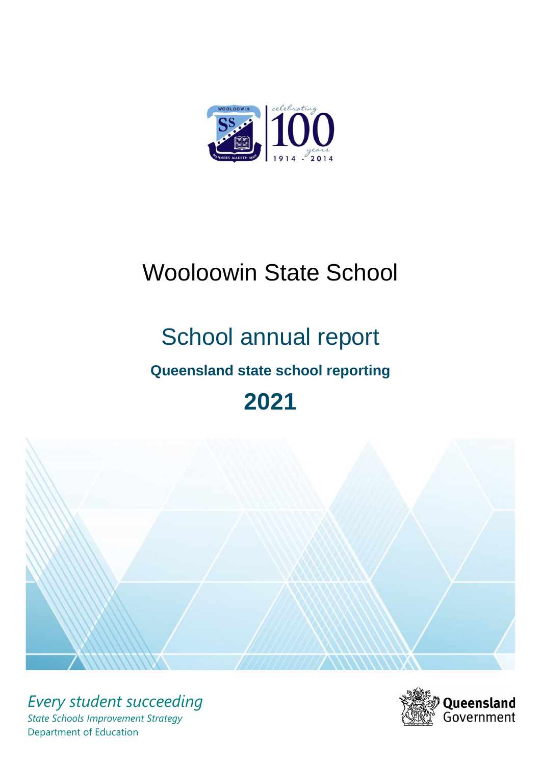

# Wooloowin State School

# School annual report

# **Queensland state school reporting**

# **2021**



*Every student succeeding State Schools Improvement Strategy* Department of Education

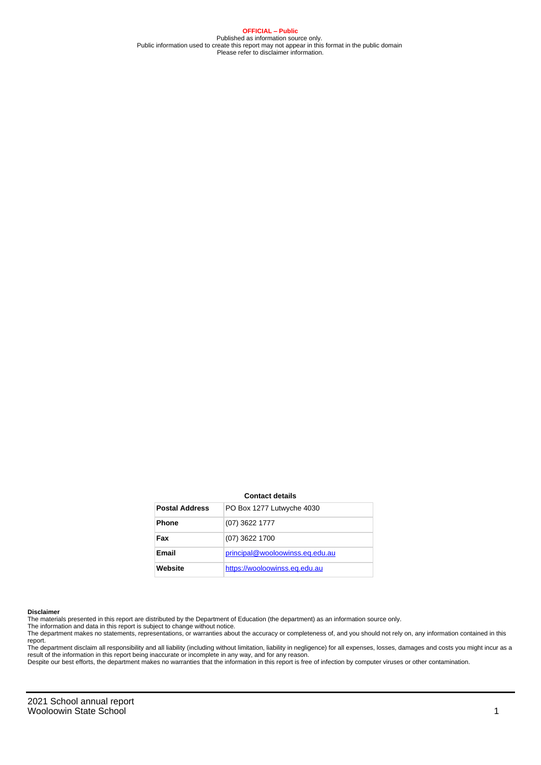**OFFICIAL – Public** Published as information source only. Public information used to create this report may not appear in this format in the public domain Please refer to disclaimer information.

#### **Contact details**

| <b>Postal Address</b> | PO Box 1277 Lutwyche 4030       |
|-----------------------|---------------------------------|
| <b>Phone</b>          | $(07)$ 3622 1777                |
| Fax                   | $(07)$ 3622 1700                |
| Email                 | principal@wooloowinss.eq.edu.au |
| Website               | https://wooloowinss.eq.edu.au   |

#### **Disclaimer**

The materials presented in this report are distributed by the Department of Education (the department) as an information source only.

The information and data in this report is subject to change without notice.<br>The department makes no statements, representations, or warranties about the accuracy or completeness of, and you should not rely on, any informa report.

The department disclaim all responsibility and all liability (including without limitation, liability in negligence) for all expenses, losses, damages and costs you might incur as a result of the information in this report being inaccurate or incomplete in any way, and for any reason. Despite our best efforts, the department makes no warranties that the information in this report is free of infection by computer viruses or other contamination.

2021 School annual report Wooloowin State School 2008 120 November 2008 120 November 2008 120 November 2008 120 November 2008 120 November 2008 120 November 2008 120 November 2008 120 November 2008 120 November 2008 120 November 2008 120 November 2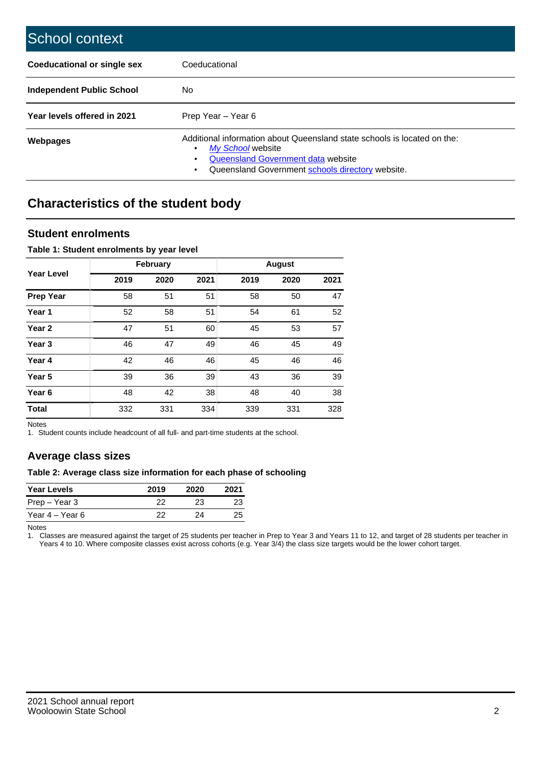| School context                   |                                                                                                                                                                                              |
|----------------------------------|----------------------------------------------------------------------------------------------------------------------------------------------------------------------------------------------|
| Coeducational or single sex      | Coeducational                                                                                                                                                                                |
| <b>Independent Public School</b> | No.                                                                                                                                                                                          |
| Year levels offered in 2021      | Prep Year - Year 6                                                                                                                                                                           |
| Webpages                         | Additional information about Queensland state schools is located on the:<br>My School website<br>Queensland Government data website<br>Queensland Government schools directory website.<br>٠ |

# **Characteristics of the student body**

### **Student enrolments**

#### **Table 1: Student enrolments by year level**

|                   |      | <b>February</b> |      |      | <b>August</b> |      |
|-------------------|------|-----------------|------|------|---------------|------|
| <b>Year Level</b> | 2019 | 2020            | 2021 | 2019 | 2020          | 2021 |
| <b>Prep Year</b>  | 58   | 51              | 51   | 58   | 50            | 47   |
| Year 1            | 52   | 58              | 51   | 54   | 61            | 52   |
| Year 2            | 47   | 51              | 60   | 45   | 53            | 57   |
| Year <sub>3</sub> | 46   | 47              | 49   | 46   | 45            | 49   |
| Year 4            | 42   | 46              | 46   | 45   | 46            | 46   |
| Year 5            | 39   | 36              | 39   | 43   | 36            | 39   |
| Year <sub>6</sub> | 48   | 42              | 38   | 48   | 40            | 38   |
| <b>Total</b>      | 332  | 331             | 334  | 339  | 331           | 328  |

Notes

1. Student counts include headcount of all full- and part-time students at the school.

## **Average class sizes**

#### **Table 2: Average class size information for each phase of schooling**

| <b>Year Levels</b> | 2019 | 2020 | 2021 |
|--------------------|------|------|------|
| Prep – Year 3      | 22   | 23   | 23   |
| Year 4 – Year 6    | つつ   | 24   | 25   |

Notes

1. Classes are measured against the target of 25 students per teacher in Prep to Year 3 and Years 11 to 12, and target of 28 students per teacher in Years 4 to 10. Where composite classes exist across cohorts (e.g. Year 3/4) the class size targets would be the lower cohort target.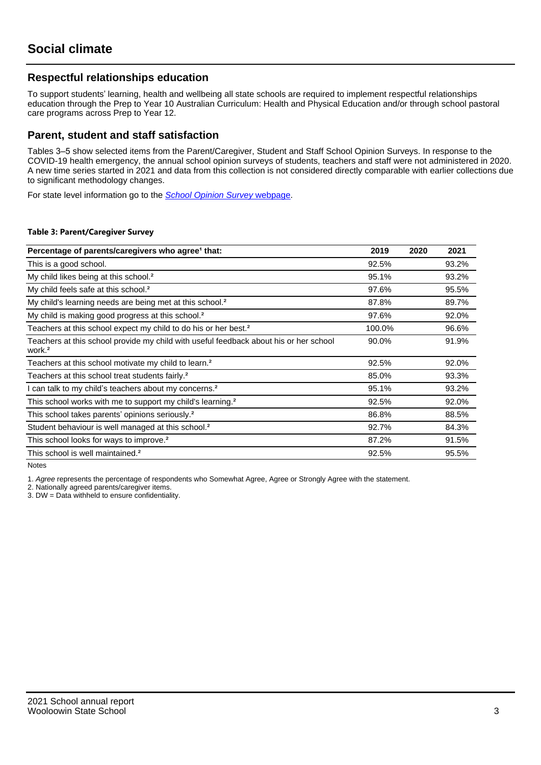## **Respectful relationships education**

To support students' learning, health and wellbeing all state schools are required to implement respectful relationships education through the Prep to Year 10 Australian Curriculum: Health and Physical Education and/or through school pastoral care programs across Prep to Year 12.

### **Parent, student and staff satisfaction**

Tables 3–5 show selected items from the Parent/Caregiver, Student and Staff School Opinion Surveys. In response to the COVID-19 health emergency, the annual school opinion surveys of students, teachers and staff were not administered in 2020. A new time series started in 2021 and data from this collection is not considered directly comparable with earlier collections due to significant methodology changes.

For state level information go to the **[School Opinion Survey](https://qed.qld.gov.au/publications/reports/statistics/schooling/schools/schoolopinionsurvey) webpage**.

#### **Table 3: Parent/Caregiver Survey**

| Percentage of parents/caregivers who agree <sup>1</sup> that:                                               | 2019   | 2020 | 2021  |
|-------------------------------------------------------------------------------------------------------------|--------|------|-------|
| This is a good school.                                                                                      | 92.5%  |      | 93.2% |
| My child likes being at this school. <sup>2</sup>                                                           | 95.1%  |      | 93.2% |
| My child feels safe at this school. <sup>2</sup>                                                            | 97.6%  |      | 95.5% |
| My child's learning needs are being met at this school. <sup>2</sup>                                        | 87.8%  |      | 89.7% |
| My child is making good progress at this school. <sup>2</sup>                                               | 97.6%  |      | 92.0% |
| Teachers at this school expect my child to do his or her best. <sup>2</sup>                                 | 100.0% |      | 96.6% |
| Teachers at this school provide my child with useful feedback about his or her school<br>work. <sup>2</sup> | 90.0%  |      | 91.9% |
| Teachers at this school motivate my child to learn. <sup>2</sup>                                            | 92.5%  |      | 92.0% |
| Teachers at this school treat students fairly. <sup>2</sup>                                                 | 85.0%  |      | 93.3% |
| can talk to my child's teachers about my concerns. <sup>2</sup>                                             | 95.1%  |      | 93.2% |
| This school works with me to support my child's learning. <sup>2</sup>                                      | 92.5%  |      | 92.0% |
| This school takes parents' opinions seriously. <sup>2</sup>                                                 | 86.8%  |      | 88.5% |
| Student behaviour is well managed at this school. <sup>2</sup>                                              | 92.7%  |      | 84.3% |
| This school looks for ways to improve. <sup>2</sup>                                                         | 87.2%  |      | 91.5% |
| This school is well maintained. <sup>2</sup>                                                                | 92.5%  |      | 95.5% |

Notes

1. Agree represents the percentage of respondents who Somewhat Agree, Agree or Strongly Agree with the statement.

2. Nationally agreed parents/caregiver items.

3. DW = Data withheld to ensure confidentiality.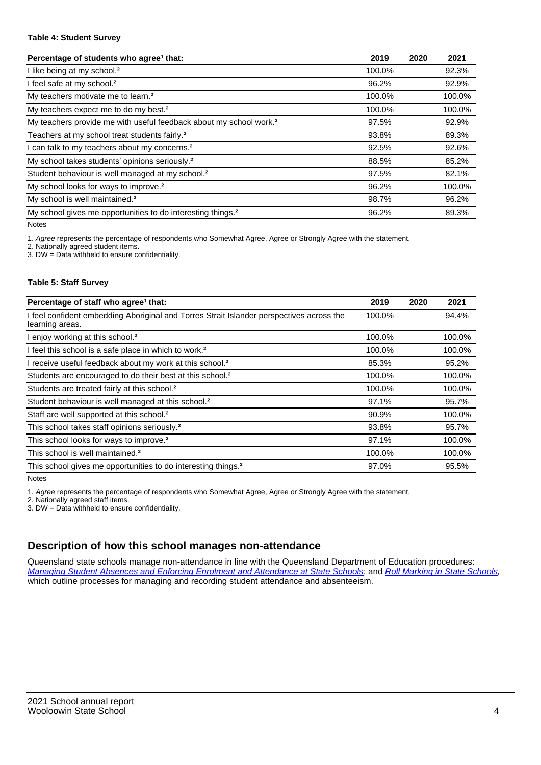#### **Table 4: Student Survey**

| Percentage of students who agree <sup>1</sup> that:                            | 2019   | 2020 | 2021   |
|--------------------------------------------------------------------------------|--------|------|--------|
| I like being at my school. <sup>2</sup>                                        | 100.0% |      | 92.3%  |
| I feel safe at my school. <sup>2</sup>                                         | 96.2%  |      | 92.9%  |
| My teachers motivate me to learn. <sup>2</sup>                                 | 100.0% |      | 100.0% |
| My teachers expect me to do my best. <sup>2</sup>                              | 100.0% |      | 100.0% |
| My teachers provide me with useful feedback about my school work. <sup>2</sup> | 97.5%  |      | 92.9%  |
| Teachers at my school treat students fairly. <sup>2</sup>                      | 93.8%  |      | 89.3%  |
| I can talk to my teachers about my concerns. <sup>2</sup>                      | 92.5%  |      | 92.6%  |
| My school takes students' opinions seriously. <sup>2</sup>                     | 88.5%  |      | 85.2%  |
| Student behaviour is well managed at my school. <sup>2</sup>                   | 97.5%  |      | 82.1%  |
| My school looks for ways to improve. <sup>2</sup>                              | 96.2%  |      | 100.0% |
| My school is well maintained. <sup>2</sup>                                     | 98.7%  |      | 96.2%  |
| My school gives me opportunities to do interesting things. <sup>2</sup>        | 96.2%  |      | 89.3%  |

Notes

1. Agree represents the percentage of respondents who Somewhat Agree, Agree or Strongly Agree with the statement.

2. Nationally agreed student items.

3. DW = Data withheld to ensure confidentiality.

#### **Table 5: Staff Survey**

| Percentage of staff who agree <sup>1</sup> that:                                                            | 2019   | 2020 | 2021   |
|-------------------------------------------------------------------------------------------------------------|--------|------|--------|
| I feel confident embedding Aboriginal and Torres Strait Islander perspectives across the<br>learning areas. | 100.0% |      | 94.4%  |
| I enjoy working at this school. <sup>2</sup>                                                                | 100.0% |      | 100.0% |
| I feel this school is a safe place in which to work. <sup>2</sup>                                           | 100.0% |      | 100.0% |
| I receive useful feedback about my work at this school. <sup>2</sup>                                        | 85.3%  |      | 95.2%  |
| Students are encouraged to do their best at this school. <sup>2</sup>                                       | 100.0% |      | 100.0% |
| Students are treated fairly at this school. <sup>2</sup>                                                    | 100.0% |      | 100.0% |
| Student behaviour is well managed at this school. <sup>2</sup>                                              | 97.1%  |      | 95.7%  |
| Staff are well supported at this school. <sup>2</sup>                                                       | 90.9%  |      | 100.0% |
| This school takes staff opinions seriously. <sup>2</sup>                                                    | 93.8%  |      | 95.7%  |
| This school looks for ways to improve. <sup>2</sup>                                                         | 97.1%  |      | 100.0% |
| This school is well maintained. <sup>2</sup>                                                                | 100.0% |      | 100.0% |
| This school gives me opportunities to do interesting things. <sup>2</sup>                                   | 97.0%  |      | 95.5%  |

Notes

1. Agree represents the percentage of respondents who Somewhat Agree, Agree or Strongly Agree with the statement.

2. Nationally agreed staff items.

3. DW = Data withheld to ensure confidentiality.

## **Description of how this school manages non-attendance**

Queensland state schools manage non-attendance in line with the Queensland Department of Education procedures: [Managing Student Absences and Enforcing Enrolment and Attendance at State Schools](https://ppr.qed.qld.gov.au/pp/managing-student-absences-and-enforcing-enrolment-and-attendance-at-state-schools-procedure); and [Roll Marking in State Schools,](https://ppr.qed.qld.gov.au/pp/roll-marking-in-state-schools-procedure) which outline processes for managing and recording student attendance and absenteeism.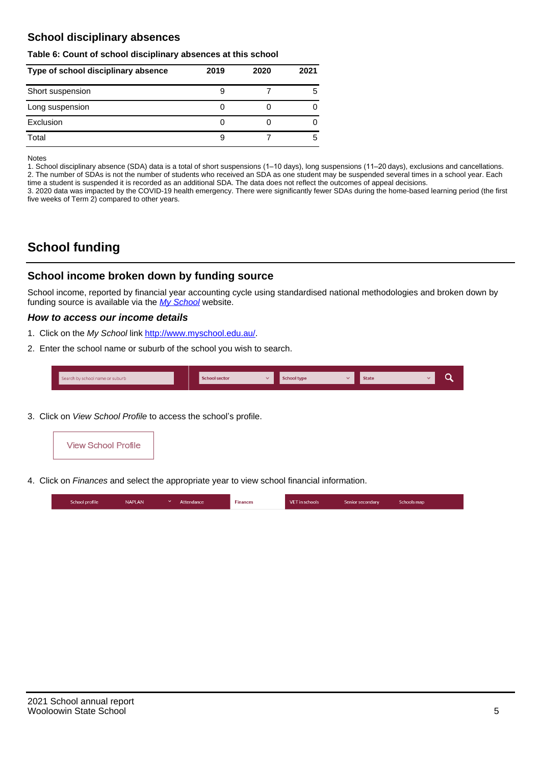## **School disciplinary absences**

#### **Table 6: Count of school disciplinary absences at this school**

| Type of school disciplinary absence | 2019 | 2020 | 2021 |
|-------------------------------------|------|------|------|
| Short suspension                    |      |      | 5    |
| Long suspension                     |      |      |      |
| Exclusion                           |      |      |      |
| Total                               |      |      | 5    |

Notes

1. School disciplinary absence (SDA) data is a total of short suspensions (1–10 days), long suspensions (11–20 days), exclusions and cancellations. 2. The number of SDAs is not the number of students who received an SDA as one student may be suspended several times in a school year. Each time a student is suspended it is recorded as an additional SDA. The data does not reflect the outcomes of appeal decisions.

3. 2020 data was impacted by the COVID-19 health emergency. There were significantly fewer SDAs during the home-based learning period (the first five weeks of Term 2) compared to other years.

# **School funding**

## **School income broken down by funding source**

School income, reported by financial year accounting cycle using standardised national methodologies and broken down by funding source is available via the  $My$  School website.

#### **How to access our income details**

- 1. Click on the My School link <http://www.myschool.edu.au/>.
- 2. Enter the school name or suburb of the school you wish to search.

|  | Search by school name or suburb |  | <b>School sector</b> |  | $\sim$ and $\sim$ represents the set of $\sim$ | <b>State</b> |  |  |  |
|--|---------------------------------|--|----------------------|--|------------------------------------------------|--------------|--|--|--|
|--|---------------------------------|--|----------------------|--|------------------------------------------------|--------------|--|--|--|

3. Click on View School Profile to access the school's profile.



4. Click on Finances and select the appropriate year to view school financial information.

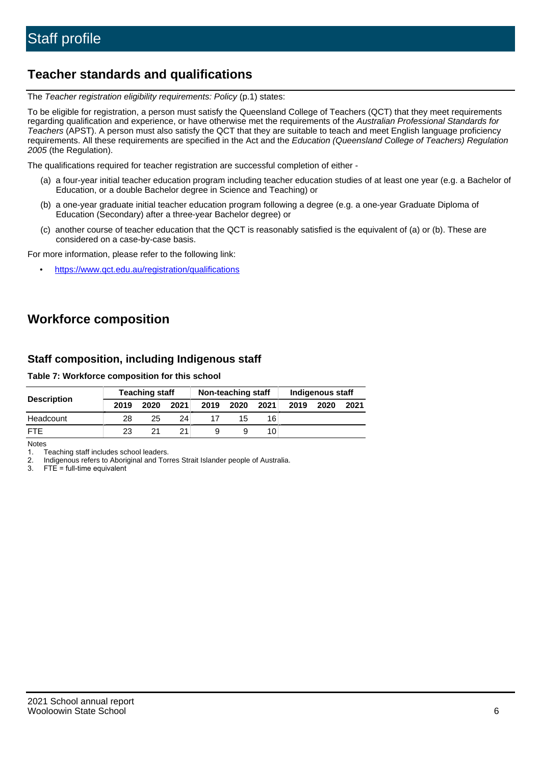## **Teacher standards and qualifications**

The Teacher registration eligibility requirements: Policy (p.1) states:

To be eligible for registration, a person must satisfy the Queensland College of Teachers (QCT) that they meet requirements regarding qualification and experience, or have otherwise met the requirements of the Australian Professional Standards for Teachers (APST). A person must also satisfy the QCT that they are suitable to teach and meet English language proficiency requirements. All these requirements are specified in the Act and the Education (Queensland College of Teachers) Regulation 2005 (the Regulation).

The qualifications required for teacher registration are successful completion of either -

- (a) a four-year initial teacher education program including teacher education studies of at least one year (e.g. a Bachelor of Education, or a double Bachelor degree in Science and Teaching) or
- (b) a one-year graduate initial teacher education program following a degree (e.g. a one-year Graduate Diploma of Education (Secondary) after a three-year Bachelor degree) or
- (c) another course of teacher education that the QCT is reasonably satisfied is the equivalent of (a) or (b). These are considered on a case-by-case basis.

For more information, please refer to the following link:

• <https://www.qct.edu.au/registration/qualifications>

# **Workforce composition**

## **Staff composition, including Indigenous staff**

#### **Table 7: Workforce composition for this school**

|                    |      | <b>Teaching staff</b> |      | Non-teaching staff |      |      | Indigenous staff |      |      |
|--------------------|------|-----------------------|------|--------------------|------|------|------------------|------|------|
| <b>Description</b> | 2019 | 2020                  | 2021 | 2019               | 2020 | 2021 | 2019             | 2020 | 2021 |
| Headcount          | 28   | 25                    | 24   |                    | 15   | 16   |                  |      |      |
| <b>FTE</b>         | 23   | 21                    | 21   |                    |      | 10   |                  |      |      |

Notes

1. Teaching staff includes school leaders.

2. Indigenous refers to Aboriginal and Torres Strait Islander people of Australia.

3. FTE = full-time equivalent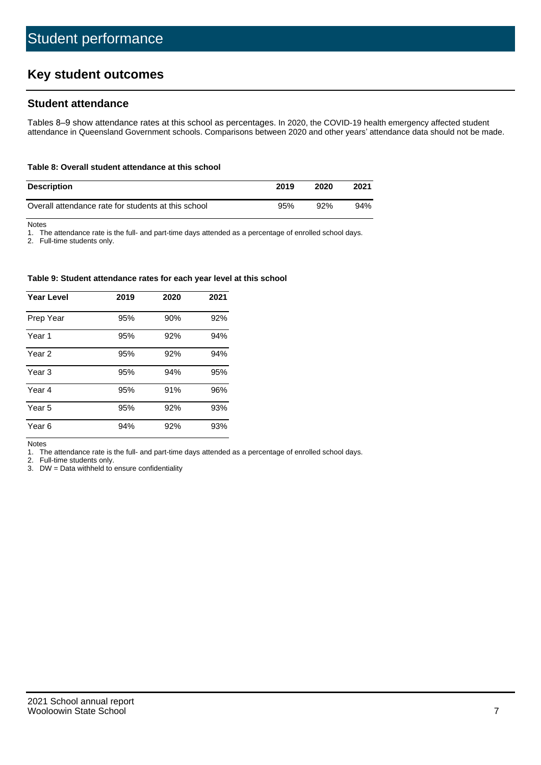# **Key student outcomes**

## **Student attendance**

Tables 8–9 show attendance rates at this school as percentages. In 2020, the COVID-19 health emergency affected student attendance in Queensland Government schools. Comparisons between 2020 and other years' attendance data should not be made.

#### **Table 8: Overall student attendance at this school**

| <b>Description</b>                                  | 2019 | 2020 | 2021 |
|-----------------------------------------------------|------|------|------|
| Overall attendance rate for students at this school | 95%  | 92%  | 94%  |

Notes

1. The attendance rate is the full- and part-time days attended as a percentage of enrolled school days.

2. Full-time students only.

#### **Table 9: Student attendance rates for each year level at this school**

| <b>Year Level</b> | 2019 | 2020 | 2021 |
|-------------------|------|------|------|
| Prep Year         | 95%  | 90%  | 92%  |
| Year <sub>1</sub> | 95%  | 92%  | 94%  |
| Year 2            | 95%  | 92%  | 94%  |
| Year <sub>3</sub> | 95%  | 94%  | 95%  |
| Year 4            | 95%  | 91%  | 96%  |
| Year 5            | 95%  | 92%  | 93%  |
| Year <sub>6</sub> | 94%  | 92%  | 93%  |

Notes

1. The attendance rate is the full- and part-time days attended as a percentage of enrolled school days.

2. Full-time students only.

3. DW = Data withheld to ensure confidentiality